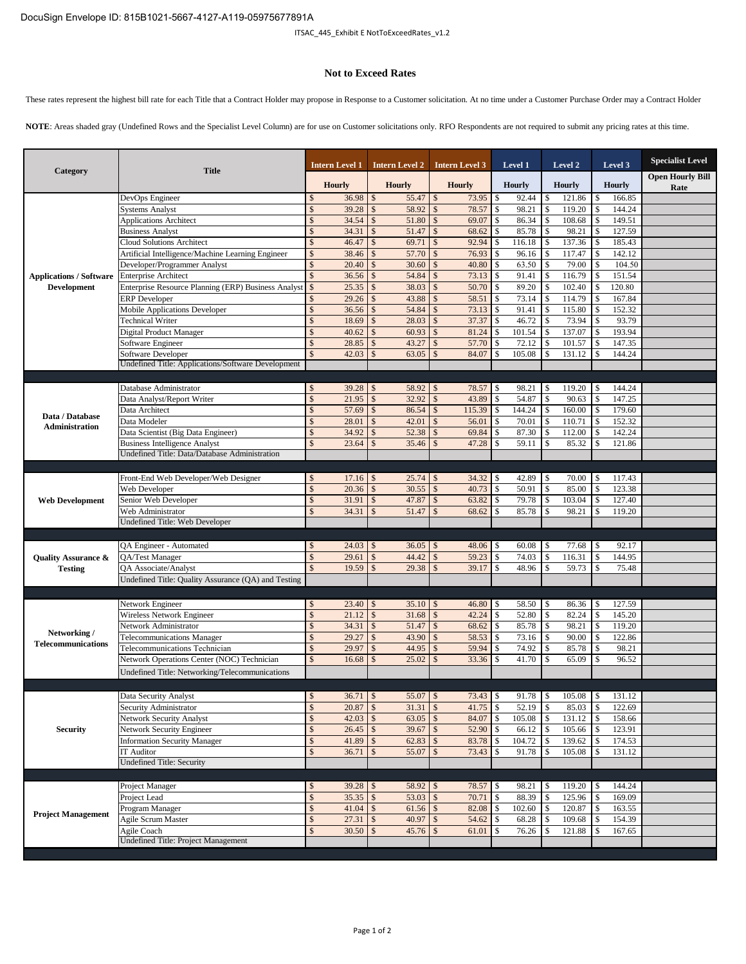## **Not to Exceed Rates**

These rates represent the highest bill rate for each Title that a Contract Holder may propose in Response to a Customer solicitation. At no time under a Customer Purchase Order may a Contract Holder

**NOTE**: Areas shaded gray (Undefined Rows and the Specialist Level Column) are for use on Customer solicitations only. RFO Respondents are not required to submit any pricing rates at this time.

| Category                                             | <b>Title</b>                                        |               | <b>Intern Level 1</b> |                    | <b>Intern Level 2</b> |               | <b>Intern Level 3</b> |    | Level 1       |                    | Level 2       |              | Level 3       | <b>Specialist Level</b>         |
|------------------------------------------------------|-----------------------------------------------------|---------------|-----------------------|--------------------|-----------------------|---------------|-----------------------|----|---------------|--------------------|---------------|--------------|---------------|---------------------------------|
|                                                      |                                                     |               | <b>Hourly</b>         |                    | <b>Hourly</b>         |               | <b>Hourly</b>         |    | <b>Hourly</b> |                    | <b>Hourly</b> |              | <b>Hourly</b> | <b>Open Hourly Bill</b><br>Rate |
| <b>Applications / Software</b><br><b>Development</b> | DevOps Engineer                                     | \$            | 36.98                 | $\mathcal{S}$      | 55.47                 | $\mathbb{S}$  | 73.95                 | \$ | 92.44         | \$                 | 121.86        | S            | 166.85        |                                 |
|                                                      | <b>Systems Analyst</b>                              | $\mathcal{S}$ | 39.28                 |                    | 58.92                 | \$            | 78.57                 | \$ | 98.21         | \$                 | 119.20        |              | 144.24        |                                 |
|                                                      | <b>Applications Architect</b>                       | $\mathcal{S}$ | 34.54                 | $\mathcal{S}$      | 51.80                 | $\mathbf{s}$  | 69.07                 | \$ | 86.34         | \$                 | 108.68        |              | 149.51        |                                 |
|                                                      | <b>Business Analyst</b>                             | \$            | 34.31                 | $\mathcal{S}$      | 51.47                 | \$            | 68.62                 | \$ | 85.78         | \$                 | 98.21         | \$           | 127.59        |                                 |
|                                                      | <b>Cloud Solutions Architect</b>                    | $\mathcal{S}$ | 46.47                 | $\mathcal{S}$      | 69.71                 | $\mathcal{S}$ | 92.94                 | \$ | 116.18        | $\mathbb{S}$       | 137.36        | \$           | 185.43        |                                 |
|                                                      | Artificial Intelligence/Machine Learning Engineer   | $\mathcal{S}$ | 38.46                 | $\mathcal{S}$      | 57.70                 | $\mathcal{S}$ | 76.93                 | \$ | 96.16         | \$                 | 117.47        |              | 142.12        |                                 |
|                                                      | Developer/Programmer Analyst                        | $\mathcal{S}$ | 20.40                 | $\mathcal{S}$      | 30.60                 | $\mathbf{s}$  | 40.80                 | \$ | 63.50         | $\mathbb{S}$       | 79.00         | \$           | 104.50        |                                 |
|                                                      | <b>Enterprise Architect</b>                         |               | 36.56                 |                    | 54.84                 | \$            | 73.13                 | \$ | 91.41         | $\mathcal{S}$      | 116.79        |              | 151.54        |                                 |
|                                                      | Enterprise Resource Planning (ERP) Business Analyst | \$            | 25.35                 | $\mathcal{S}$      | 38.03                 | $\mathbf{s}$  | 50.70                 | \$ | 89.20         | $\mathbb{S}$       | 102.40        |              | 120.80        |                                 |
|                                                      | <b>ERP</b> Developer                                |               | 29.26                 |                    | 43.88                 | $\mathbb{S}$  | 58.51                 | \$ | 73.14         | $\mathcal{S}$      | 114.79        |              | 167.84        |                                 |
|                                                      | <b>Mobile Applications Developer</b>                | $\mathcal{S}$ | 36.56                 | $\mathcal{S}$      | 54.84                 | $\mathcal{S}$ | 73.13                 | \$ | 91.41         | $\mathbb{S}$       | 115.80        | \$           | 152.32        |                                 |
|                                                      | <b>Technical Writer</b>                             |               | 18.69                 |                    | 28.03                 | $\mathbf{s}$  | 37.37                 | \$ | 46.72         | \$                 | 73.94         |              | 93.79         |                                 |
|                                                      | Digital Product Manager                             | $\mathcal{S}$ | 40.62                 | $\mathcal{S}$      | 60.93                 | $\mathbf{s}$  | 81.24                 | \$ | 101.54        | \$                 | 137.07        | \$           | 193.94        |                                 |
|                                                      | Software Engineer                                   | $\mathcal{S}$ | 28.85                 | $\mathcal{S}$      | 43.27                 | $\mathbb{S}$  | 57.70                 | \$ | 72.12         | \$                 | 101.57        |              | 147.35        |                                 |
|                                                      | Software Developer                                  |               | 42.03                 |                    | 63.05                 | \$            | 84.07                 | \$ | 105.08        | \$                 | 131.12        |              | 144.24        |                                 |
|                                                      | Undefined Title: Applications/Software Development  |               |                       |                    |                       |               |                       |    |               |                    |               |              |               |                                 |
|                                                      |                                                     |               |                       |                    |                       |               |                       |    |               |                    |               |              |               |                                 |
|                                                      | Database Administrator                              | \$            | 39.28                 | <sup>S</sup>       | 58.92                 | \$            | 78.57                 | \$ | 98.21         | \$                 | 119.20        |              | 144.24        |                                 |
|                                                      | Data Analyst/Report Writer                          | \$            | 21.95                 | \$                 | 32.92                 | $\mathbb{S}$  | 43.89                 | \$ | 54.87         | \$                 | 90.63         |              | 147.25        |                                 |
| Data / Database                                      | Data Architect                                      | $\mathcal{S}$ | 57.69                 | $\mathcal{S}$      | 86.54                 | $\mathbf{s}$  | 115.39                | \$ | 144.24        | \$                 | 160.00        | \$           | 179.60        |                                 |
| <b>Administration</b>                                | Data Modeler                                        | $\mathcal{S}$ | 28.01                 | $\mathcal{S}$      | 42.01                 | $\mathbb{S}$  | 56.01                 | \$ | 70.01         | $\mathbb{S}$       | 110.71        | \$           | 152.32        |                                 |
|                                                      | Data Scientist (Big Data Engineer)                  | \$            | 34.92                 | $\mathcal{S}$      |                       |               | 69.84                 | \$ | 87.30         | $\mathcal{S}$      | 112.00        |              | 142.24        |                                 |
|                                                      | <b>Business Intelligence Analyst</b>                | $\mathcal{S}$ | 23.64                 |                    | 35.46                 | $\mathcal{S}$ | 47.28                 | \$ | 59.11         | \$                 | 85.32         |              | 121.86        |                                 |
|                                                      | Undefined Title: Data/Database Administration       |               |                       |                    |                       |               |                       |    |               |                    |               |              |               |                                 |
|                                                      |                                                     |               |                       |                    |                       |               |                       |    |               |                    |               |              |               |                                 |
| <b>Web Development</b>                               | Front-End Web Developer/Web Designer                | \$            | 17.16                 | $\mathbf{\hat{s}}$ | 25.74                 | $\mathcal{S}$ | 34.32                 | \$ | 42.89         | $\mathbb{S}$       | 70.00         | S            | 117.43        |                                 |
|                                                      | Web Developer                                       | $\mathcal{S}$ | 20.36                 | $\mathcal{S}$      | 30.55                 | $\mathbb{S}$  | 40.73                 | \$ | 50.91         | $\mathbf{\hat{S}}$ | 85.00         |              | 123.38        |                                 |
|                                                      | Senior Web Developer                                | $\mathcal{S}$ | 31.91                 |                    | 47.87                 | $\mathbb{S}$  | 63.82                 | \$ | 79.78         | <sup>\$</sup>      | 103.04        |              | 127.40        |                                 |
|                                                      | Web Administrator                                   |               | 34.31                 |                    | 51.47                 | \$            | 68.62                 | \$ | 85.78         |                    | 98.21         |              | 119.20        |                                 |
|                                                      | Undefined Title: Web Developer                      |               |                       |                    |                       |               |                       |    |               |                    |               |              |               |                                 |
|                                                      |                                                     |               |                       |                    |                       |               |                       |    |               |                    |               |              |               |                                 |
|                                                      | QA Engineer - Automated                             | S.            | 24.03                 | $\mathcal{S}$      | 36.05                 | $\mathcal{S}$ | 48.06                 | \$ | 60.08         | $\mathcal{S}$      | 77.68         |              | 92.17         |                                 |
| <b>Quality Assurance &amp;</b>                       | QA/Test Manager                                     | \$            | 29.61                 | $\mathcal{S}$      | 44.42                 | $\mathcal{S}$ | 59.23                 | \$ | 74.03         | $\mathbf{s}$       | 116.31        | \$           | 144.95        |                                 |
| <b>Testing</b>                                       | QA Associate/Analyst                                |               | 19.59                 |                    | 29.38                 | $\mathbb{S}$  | 39.17                 | \$ | 48.96         | \$                 | 59.73         |              | 75.48         |                                 |
|                                                      | Undefined Title: Quality Assurance (QA) and Testing |               |                       |                    |                       |               |                       |    |               |                    |               |              |               |                                 |
|                                                      |                                                     |               |                       |                    |                       |               |                       |    |               |                    |               |              |               |                                 |
|                                                      | Network Engineer                                    | \$            | 23.40                 | $\mathcal{S}$      | 35.10                 | $\mathcal{S}$ | 46.80                 | \$ | 58.50         | \$                 | 86.36         | \$           | 127.59        |                                 |
|                                                      | Wireless Network Engineer                           | $\mathcal{S}$ | 21.12                 | $\mathcal{S}$      | $31.68$ \$            |               | 42.24                 | \$ | 52.80         | $\mathbf{s}$       | 82.24         | \$           | 145.20        |                                 |
|                                                      | Network Administrator                               | $\mathcal{S}$ | 34.31                 | $\mathcal{S}$      | 51.47                 | $\mathcal{S}$ | 68.62                 | \$ | 85.78         | \$                 | 98.21         | \$           | 119.20        |                                 |
| Networking /<br><b>Telecommunications</b>            | <b>Telecommunications Manager</b>                   | $\mathcal{S}$ | 29.27                 | \$                 | 43.90                 | $\mathcal{S}$ | 58.53                 | \$ | 73.16         | $\mathbb{S}$       | 90.00         |              | 122.86        |                                 |
|                                                      | Telecommunications Technician                       | $\mathcal{S}$ | 29.97                 |                    | 44.95                 | $\mathcal{S}$ | 59.94                 | \$ | 74.92         | $\mathbf{\hat{S}}$ | 85.78         |              | 98.21         |                                 |
|                                                      | Network Operations Center (NOC) Technician          | $\mathcal{S}$ | 16.68                 | $\mathcal{S}$      | 25.02                 | \$            | 33.36                 | \$ | 41.70         | \$                 | 65.09         |              | 96.52         |                                 |
|                                                      | Undefined Title: Networking/Telecommunications      |               |                       |                    |                       |               |                       |    |               |                    |               |              |               |                                 |
|                                                      |                                                     |               |                       |                    |                       |               |                       |    |               |                    |               |              |               |                                 |
|                                                      | Data Security Analyst                               | \$            |                       |                    |                       |               | $73.43$ $\frac{1}{3}$ |    | $91.78$   \$  |                    | 105.08        | $\mathbf{I}$ | 131.12        |                                 |
|                                                      | Security Administrator                              | \$            | 20.87                 | $\mathcal{S}$      | $31.31$ \$            |               | 41.75                 | \$ | 52.19         | $\mathbb{S}$       | 85.03         |              | 122.69        |                                 |
| <b>Security</b>                                      | Network Security Analyst                            | \$            | 42.03                 | $\mathcal{S}$      | $63.05$ \$            |               | 84.07                 | \$ | 105.08        | $\sqrt{3}$         | 131.12        |              | 158.66        |                                 |
|                                                      | Network Security Engineer                           | \$            | 26.45                 |                    | $39.67$ \$            |               | 52.90                 |    | 66.12         | \$                 | 105.66        |              | 123.91        |                                 |
|                                                      | <b>Information Security Manager</b>                 | \$            | 41.89                 | $\mathcal{S}$      |                       |               | 83.78                 | \$ | 104.72        | \$                 | 139.62        |              | 174.53        |                                 |
|                                                      | IT Auditor                                          | $\mathcal{S}$ | 36.71                 |                    |                       |               | 73.43                 | \$ | 91.78         | $\mathcal{S}$      | 105.08        |              | 131.12        |                                 |
|                                                      | <b>Undefined Title: Security</b>                    |               |                       |                    |                       |               |                       |    |               |                    |               |              |               |                                 |
|                                                      |                                                     |               |                       |                    |                       |               |                       |    |               |                    |               |              |               |                                 |
| <b>Project Management</b>                            | Project Manager                                     | \$            | 39.28                 |                    | 58.92 \$              |               | 78.57                 | \$ | 98.21         | \$                 | 119.20        |              | 144.24        |                                 |
|                                                      | Project Lead                                        | \$            | 35.35                 | $\sqrt{5}$         | $53.03$ \$            |               | 70.71                 | \$ | 88.39         | $\sqrt{3}$         | 125.96        | \$           | 169.09        |                                 |
|                                                      | Program Manager                                     | \$            | 41.04                 | $\sqrt{5}$         |                       |               | 82.08                 | \$ | 102.60        | $\mathbf{I}$       | 120.87        | \$           | 163.55        |                                 |
|                                                      | Agile Scrum Master                                  | \$            | 27.31                 | $\sqrt{3}$         | $40.97$ \$            |               | 54.62                 | \$ | 68.28         | $\sqrt{3}$         | 109.68        | \$           | 154.39        |                                 |
|                                                      | Agile Coach                                         | $\mathcal{S}$ | 30.50                 | $\mathcal{S}$      | $45.76$ \$            |               | 61.01                 | \$ | 76.26         | \$                 | 121.88        | \$           | 167.65        |                                 |
|                                                      | Undefined Title: Project Management                 |               |                       |                    |                       |               |                       |    |               |                    |               |              |               |                                 |
|                                                      |                                                     |               |                       |                    |                       |               |                       |    |               |                    |               |              |               |                                 |